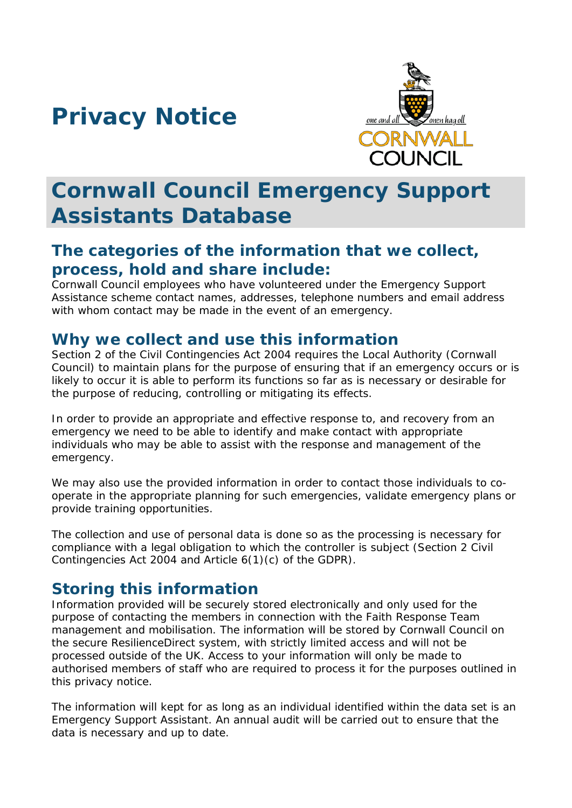# **Privacy Notice**



# **Cornwall Council Emergency Support Assistants Database**

## **The categories of the information that we collect, process, hold and share include:**

Cornwall Council employees who have volunteered under the Emergency Support Assistance scheme contact names, addresses, telephone numbers and email address with whom contact may be made in the event of an emergency.

#### **Why we collect and use this information**

Section 2 of the Civil Contingencies Act 2004 requires the Local Authority (Cornwall Council) to maintain plans for the purpose of ensuring that if an emergency occurs or is likely to occur it is able to perform its functions so far as is necessary or desirable for the purpose of reducing, controlling or mitigating its effects.

In order to provide an appropriate and effective response to, and recovery from an emergency we need to be able to identify and make contact with appropriate individuals who may be able to assist with the response and management of the emergency.

We may also use the provided information in order to contact those individuals to cooperate in the appropriate planning for such emergencies, validate emergency plans or provide training opportunities.

The collection and use of personal data is done so as the processing is necessary for compliance with a legal obligation to which the controller is subject (Section 2 Civil Contingencies Act 2004 and Article 6(1)(c) of the GDPR).

### **Storing this information**

Information provided will be securely stored electronically and only used for the purpose of contacting the members in connection with the Faith Response Team management and mobilisation. The information will be stored by Cornwall Council on the secure ResilienceDirect system, with strictly limited access and will not be processed outside of the UK. Access to your information will only be made to authorised members of staff who are required to process it for the purposes outlined in this privacy notice.

The information will kept for as long as an individual identified within the data set is an Emergency Support Assistant. An annual audit will be carried out to ensure that the data is necessary and up to date.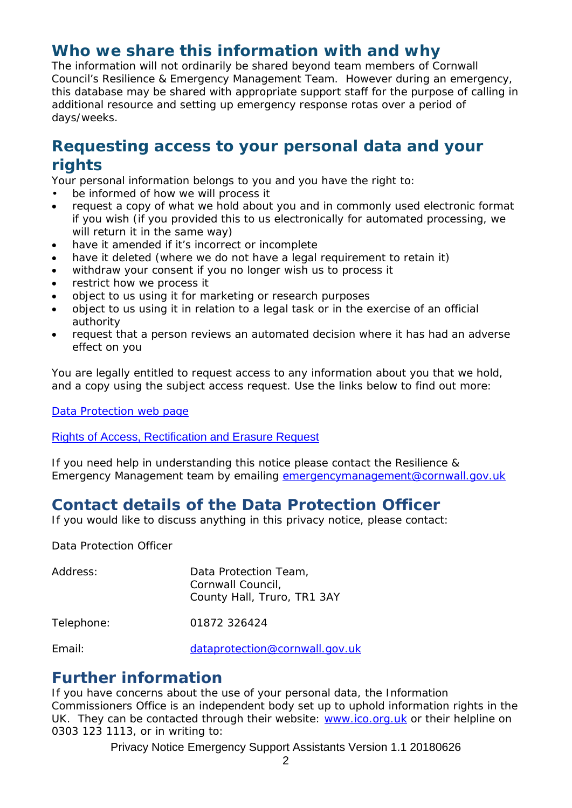### **Who we share this information with and why**

The information will not ordinarily be shared beyond team members of Cornwall Council's Resilience & Emergency Management Team. However during an emergency, this database may be shared with appropriate support staff for the purpose of calling in additional resource and setting up emergency response rotas over a period of days/weeks.

## **Requesting access to your personal data and your rights**

Your personal information belongs to you and you have the right to:

- be informed of how we will process it
- request a copy of what we hold about you and in commonly used electronic format if you wish (if you provided this to us electronically for automated processing, we will return it in the same way)
- have it amended if it's incorrect or incomplete
- have it deleted (where we do not have a legal requirement to retain it)
- withdraw your consent if you no longer wish us to process it
- restrict how we process it
- object to us using it for marketing or research purposes
- object to us using it in relation to a legal task or in the exercise of an official authority
- request that a person reviews an automated decision where it has had an adverse effect on you

You are legally entitled to request access to any information about you that we hold, and a copy using the subject access request. Use the links below to find out more:

[Data Protection web page](http://www.cornwall.gov.uk/council-and-democracy/data-protection-and-freedom-of-information/data-protection)

[Rights of Access, Rectification and Erasure Request](https://www.cornwall.gov.uk/media/33315555/form-2018-rare-form-blank.pdf)

If you need help in understanding this notice please contact the Resilience & Emergency Management team by emailing [emergencymanagement@cornwall.gov.uk](mailto:emergencymanagement@cornwall.gov.uk)

## **Contact details of the Data Protection Officer**

If you would like to discuss anything in this privacy notice, please contact:

Data Protection Officer

| Address:   | Data Protection Team,<br>Cornwall Council,<br>County Hall, Truro, TR1 3AY |
|------------|---------------------------------------------------------------------------|
| Telephone: | 01872 326424                                                              |
| Fmail:     | dataprotection@cornwall.gov.uk                                            |

**Further information**

If you have concerns about the use of your personal data, the Information Commissioners Office is an independent body set up to uphold information rights in the UK. They can be contacted through their website: [www.ico.org.uk](http://www.ico.org.uk/) or their helpline on 0303 123 1113, or in writing to:

Privacy Notice Emergency Support Assistants Version 1.1 20180626